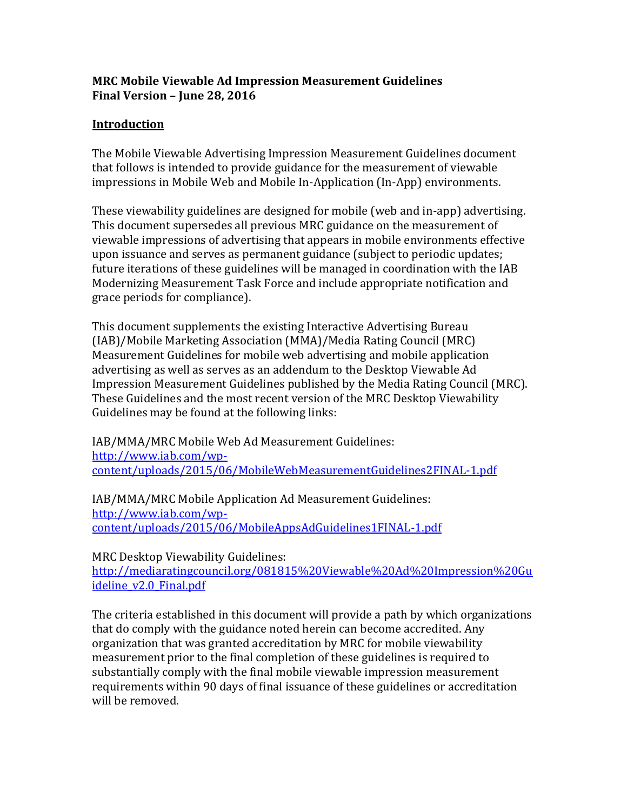## **MRC Mobile Viewable Ad Impression Measurement Guidelines Final Version – June 28, 2016**

# **Introduction**

The Mobile Viewable Advertising Impression Measurement Guidelines document that follows is intended to provide guidance for the measurement of viewable impressions in Mobile Web and Mobile In-Application (In-App) environments.

These viewability guidelines are designed for mobile (web and in-app) advertising. This document supersedes all previous MRC guidance on the measurement of viewable impressions of advertising that appears in mobile environments effective upon issuance and serves as permanent guidance (subject to periodic updates; future iterations of these guidelines will be managed in coordination with the IAB Modernizing Measurement Task Force and include appropriate notification and grace periods for compliance).

This document supplements the existing Interactive Advertising Bureau (IAB)/Mobile Marketing Association (MMA)/Media Rating Council (MRC) Measurement Guidelines for mobile web advertising and mobile application advertising as well as serves as an addendum to the Desktop Viewable Ad Impression Measurement Guidelines published by the Media Rating Council (MRC). These Guidelines and the most recent version of the MRC Desktop Viewability Guidelines may be found at the following links:

IAB/MMA/MRC Mobile Web Ad Measurement Guidelines: [http://www.iab.com/wp](http://www.iab.com/wp-content/uploads/2015/06/MobileWebMeasurementGuidelines2FINAL-1.pdf)[content/uploads/2015/06/MobileWebMeasurementGuidelines2FINAL-1.pdf](http://www.iab.com/wp-content/uploads/2015/06/MobileWebMeasurementGuidelines2FINAL-1.pdf)

IAB/MMA/MRC Mobile Application Ad Measurement Guidelines: [http://www.iab.com/wp](http://www.iab.com/wp-content/uploads/2015/06/MobileAppsAdGuidelines1FINAL-1.pdf)[content/uploads/2015/06/MobileAppsAdGuidelines1FINAL-1.pdf](http://www.iab.com/wp-content/uploads/2015/06/MobileAppsAdGuidelines1FINAL-1.pdf)

MRC Desktop Viewability Guidelines:

[http://mediaratingcouncil.org/081815%20Viewable%20Ad%20Impression%20Gu](http://mediaratingcouncil.org/081815%20Viewable%20Ad%20Impression%20Guideline_v2.0_Final.pdf) [ideline\\_v2.0\\_Final.pdf](http://mediaratingcouncil.org/081815%20Viewable%20Ad%20Impression%20Guideline_v2.0_Final.pdf)

The criteria established in this document will provide a path by which organizations that do comply with the guidance noted herein can become accredited. Any organization that was granted accreditation by MRC for mobile viewability measurement prior to the final completion of these guidelines is required to substantially comply with the final mobile viewable impression measurement requirements within 90 days of final issuance of these guidelines or accreditation will be removed.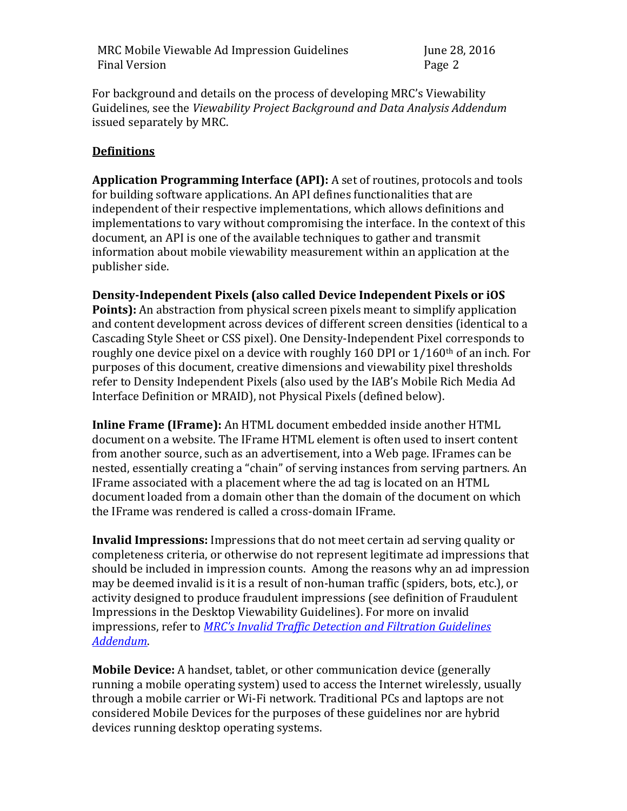For background and details on the process of developing MRC's Viewability Guidelines, see the *Viewability Project Background and Data Analysis Addendum* issued separately by MRC.

### **Definitions**

**Application Programming Interface (API):** A set of routines, protocols and tools for building software applications. An API defines functionalities that are independent of their respective implementations, which allows definitions and implementations to vary without compromising the interface. In the context of this document, an API is one of the available techniques to gather and transmit information about mobile viewability measurement within an application at the publisher side.

**Density-Independent Pixels (also called Device Independent Pixels or iOS Points):** An abstraction from physical screen pixels meant to simplify application and content development across devices of different screen densities (identical to a Cascading Style Sheet or CSS pixel). One Density-Independent Pixel corresponds to roughly one device pixel on a device with roughly 160 DPI or  $1/160$ <sup>th</sup> of an inch. For purposes of this document, creative dimensions and viewability pixel thresholds refer to Density Independent Pixels (also used by the IAB's Mobile Rich Media Ad Interface Definition or MRAID), not Physical Pixels (defined below).

**Inline Frame (IFrame):** An HTML document embedded inside another HTML document on a website. The IFrame HTML element is often used to insert content from another source, such as an advertisement, into a Web page. IFrames can be nested, essentially creating a "chain" of serving instances from serving partners. An IFrame associated with a placement where the ad tag is located on an HTML document loaded from a domain other than the domain of the document on which the IFrame was rendered is called a cross-domain IFrame.

**Invalid Impressions:** Impressions that do not meet certain ad serving quality or completeness criteria, or otherwise do not represent legitimate ad impressions that should be included in impression counts. Among the reasons why an ad impression may be deemed invalid is it is a result of non-human traffic (spiders, bots, etc.), or activity designed to produce fraudulent impressions (see definition of Fraudulent Impressions in the Desktop Viewability Guidelines). For more on invalid impressions, refer to *[MRC's Invalid Traffic Detection and Filtration Guidelines](http://mediaratingcouncil.org/101515_IVT%20Addendum%20FINAL%20(Version%201.0).pdf)  [Addendum](http://mediaratingcouncil.org/101515_IVT%20Addendum%20FINAL%20(Version%201.0).pdf)*.

**Mobile Device:** A handset, tablet, or other communication device (generally running a mobile operating system) used to access the Internet wirelessly, usually through a mobile carrier or Wi-Fi network. Traditional PCs and laptops are not considered Mobile Devices for the purposes of these guidelines nor are hybrid devices running desktop operating systems.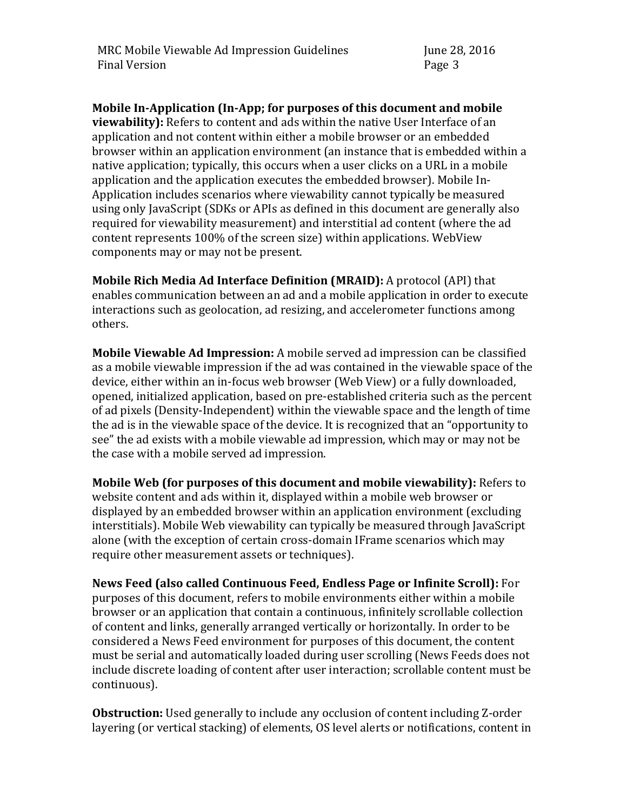**Mobile In-Application (In-App; for purposes of this document and mobile viewability):** Refers to content and ads within the native User Interface of an application and not content within either a mobile browser or an embedded browser within an application environment (an instance that is embedded within a native application; typically, this occurs when a user clicks on a URL in a mobile application and the application executes the embedded browser). Mobile In-Application includes scenarios where viewability cannot typically be measured using only JavaScript (SDKs or APIs as defined in this document are generally also required for viewability measurement) and interstitial ad content (where the ad content represents 100% of the screen size) within applications. WebView components may or may not be present.

**Mobile Rich Media Ad Interface Definition (MRAID):** A protocol (API) that enables communication between an ad and a mobile application in order to execute interactions such as geolocation, ad resizing, and accelerometer functions among others.

**Mobile Viewable Ad Impression:** A mobile served ad impression can be classified as a mobile viewable impression if the ad was contained in the viewable space of the device, either within an in-focus web browser (Web View) or a fully downloaded, opened, initialized application, based on pre-established criteria such as the percent of ad pixels (Density-Independent) within the viewable space and the length of time the ad is in the viewable space of the device. It is recognized that an "opportunity to see" the ad exists with a mobile viewable ad impression, which may or may not be the case with a mobile served ad impression.

**Mobile Web (for purposes of this document and mobile viewability):** Refers to website content and ads within it, displayed within a mobile web browser or displayed by an embedded browser within an application environment (excluding interstitials). Mobile Web viewability can typically be measured through JavaScript alone (with the exception of certain cross-domain IFrame scenarios which may require other measurement assets or techniques).

**News Feed (also called Continuous Feed, Endless Page or Infinite Scroll):** For purposes of this document, refers to mobile environments either within a mobile browser or an application that contain a continuous, infinitely scrollable collection of content and links, generally arranged vertically or horizontally. In order to be considered a News Feed environment for purposes of this document, the content must be serial and automatically loaded during user scrolling (News Feeds does not include discrete loading of content after user interaction; scrollable content must be continuous).

**Obstruction:** Used generally to include any occlusion of content including Z-order layering (or vertical stacking) of elements, OS level alerts or notifications, content in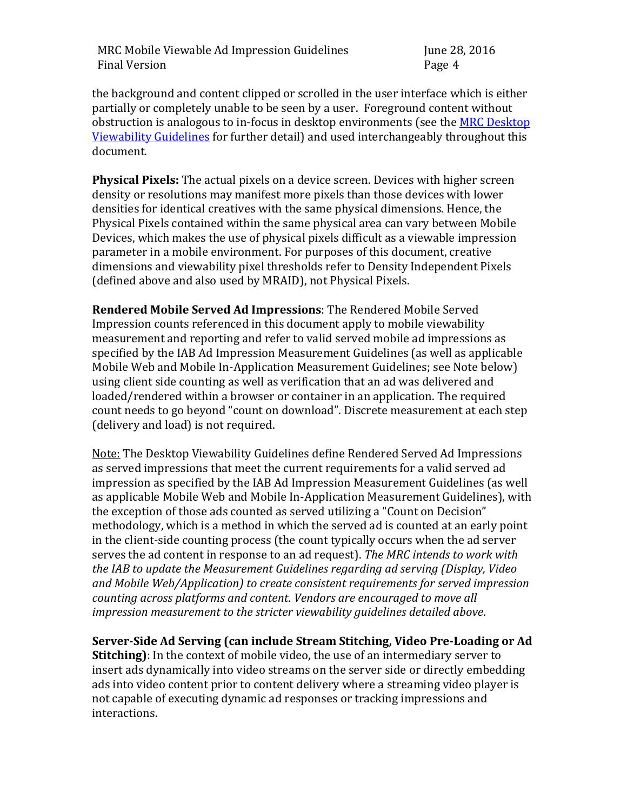the background and content clipped or scrolled in the user interface which is either partially or completely unable to be seen by a user. Foreground content without obstruction is analogous to in-focus in desktop environments (see the MRC Desktop [Viewability Guidelines](http://www.mediaratingcouncil.org/081815%20Viewable%20Ad%20Impression%20Guideline_v2.0_Final.pdf) for further detail) and used interchangeably throughout this document.

**Physical Pixels:** The actual pixels on a device screen. Devices with higher screen density or resolutions may manifest more pixels than those devices with lower densities for identical creatives with the same physical dimensions. Hence, the Physical Pixels contained within the same physical area can vary between Mobile Devices, which makes the use of physical pixels difficult as a viewable impression parameter in a mobile environment. For purposes of this document, creative dimensions and viewability pixel thresholds refer to Density Independent Pixels (defined above and also used by MRAID), not Physical Pixels.

**Rendered Mobile Served Ad Impressions**: The Rendered Mobile Served Impression counts referenced in this document apply to mobile viewability measurement and reporting and refer to valid served mobile ad impressions as specified by the IAB Ad Impression Measurement Guidelines (as well as applicable Mobile Web and Mobile In-Application Measurement Guidelines; see Note below) using client side counting as well as verification that an ad was delivered and loaded/rendered within a browser or container in an application. The required count needs to go beyond "count on download". Discrete measurement at each step (delivery and load) is not required.

Note: The Desktop Viewability Guidelines define Rendered Served Ad Impressions as served impressions that meet the current requirements for a valid served ad impression as specified by the IAB Ad Impression Measurement Guidelines (as well as applicable Mobile Web and Mobile In-Application Measurement Guidelines), with the exception of those ads counted as served utilizing a "Count on Decision" methodology, which is a method in which the served ad is counted at an early point in the client-side counting process (the count typically occurs when the ad server serves the ad content in response to an ad request). *The MRC intends to work with the IAB to update the Measurement Guidelines regarding ad serving (Display, Video and Mobile Web/Application) to create consistent requirements for served impression counting across platforms and content. Vendors are encouraged to move all impression measurement to the stricter viewability guidelines detailed above.*

**Server-Side Ad Serving (can include Stream Stitching, Video Pre-Loading or Ad Stitching)**: In the context of mobile video, the use of an intermediary server to insert ads dynamically into video streams on the server side or directly embedding ads into video content prior to content delivery where a streaming video player is not capable of executing dynamic ad responses or tracking impressions and interactions.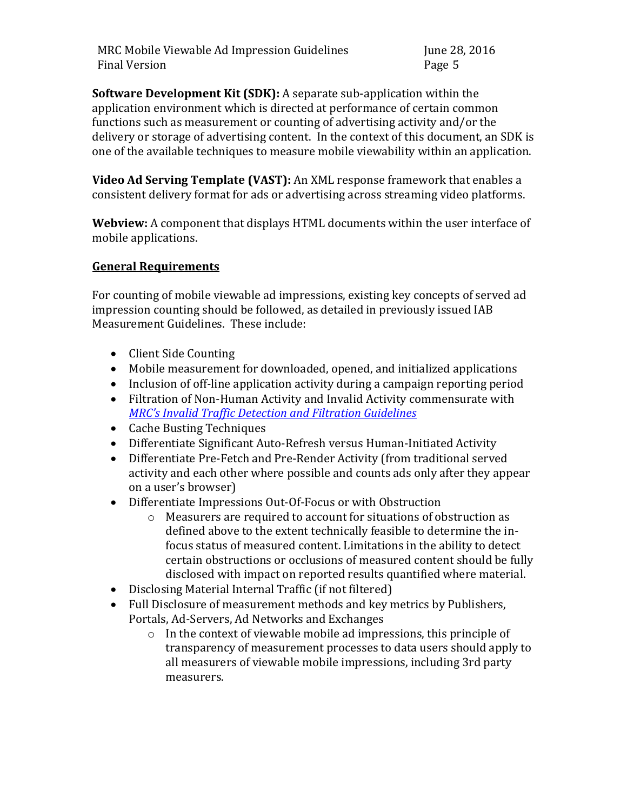**Software Development Kit (SDK):** A separate sub-application within the application environment which is directed at performance of certain common functions such as measurement or counting of advertising activity and/or the delivery or storage of advertising content. In the context of this document, an SDK is one of the available techniques to measure mobile viewability within an application.

**Video Ad Serving Template (VAST):** An XML response framework that enables a consistent delivery format for ads or advertising across streaming video platforms.

**Webview:** A component that displays HTML documents within the user interface of mobile applications.

# **General Requirements**

For counting of mobile viewable ad impressions, existing key concepts of served ad impression counting should be followed, as detailed in previously issued IAB Measurement Guidelines. These include:

- Client Side Counting
- Mobile measurement for downloaded, opened, and initialized applications
- Inclusion of off-line application activity during a campaign reporting period
- Filtration of Non-Human Activity and Invalid Activity commensurate with *[MRC's Invalid Traffic Detection and Filtration Guidelines](http://mediaratingcouncil.org/101515_IVT%20Addendum%20FINAL%20(Version%201.0).pdf)*
- Cache Busting Techniques
- Differentiate Significant Auto-Refresh versus Human-Initiated Activity
- Differentiate Pre-Fetch and Pre-Render Activity (from traditional served activity and each other where possible and counts ads only after they appear on a user's browser)
- Differentiate Impressions Out-Of-Focus or with Obstruction
	- o Measurers are required to account for situations of obstruction as defined above to the extent technically feasible to determine the infocus status of measured content. Limitations in the ability to detect certain obstructions or occlusions of measured content should be fully disclosed with impact on reported results quantified where material.
- Disclosing Material Internal Traffic (if not filtered)
- Full Disclosure of measurement methods and key metrics by Publishers, Portals, Ad-Servers, Ad Networks and Exchanges
	- o In the context of viewable mobile ad impressions, this principle of transparency of measurement processes to data users should apply to all measurers of viewable mobile impressions, including 3rd party measurers.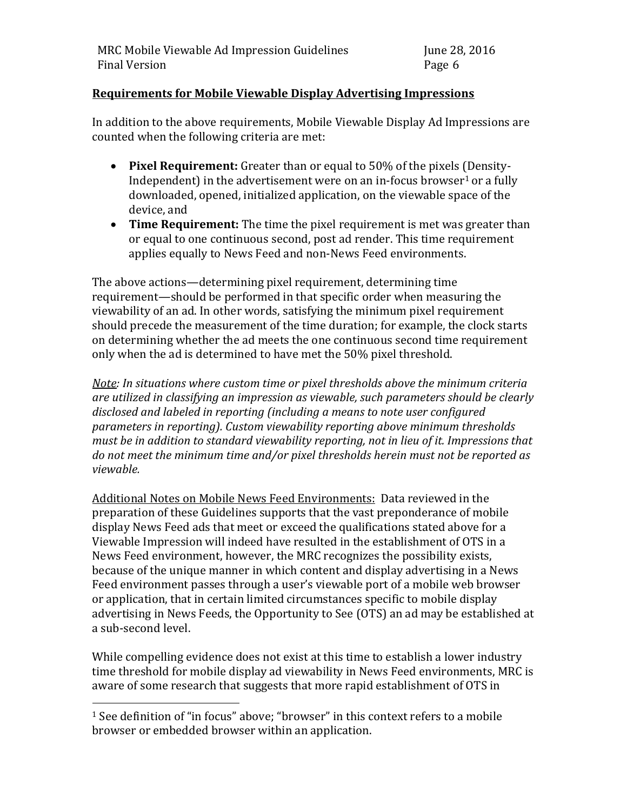## **Requirements for Mobile Viewable Display Advertising Impressions**

In addition to the above requirements, Mobile Viewable Display Ad Impressions are counted when the following criteria are met:

- **Pixel Requirement:** Greater than or equal to 50% of the pixels (Density-Independent) in the advertisement were on an in-focus browser<sup>1</sup> or a fully downloaded, opened, initialized application, on the viewable space of the device, and
- **Time Requirement:** The time the pixel requirement is met was greater than or equal to one continuous second, post ad render. This time requirement applies equally to News Feed and non-News Feed environments.

The above actions—determining pixel requirement, determining time requirement—should be performed in that specific order when measuring the viewability of an ad. In other words, satisfying the minimum pixel requirement should precede the measurement of the time duration; for example, the clock starts on determining whether the ad meets the one continuous second time requirement only when the ad is determined to have met the 50% pixel threshold.

*Note: In situations where custom time or pixel thresholds above the minimum criteria are utilized in classifying an impression as viewable, such parameters should be clearly disclosed and labeled in reporting (including a means to note user configured parameters in reporting). Custom viewability reporting above minimum thresholds must be in addition to standard viewability reporting, not in lieu of it. Impressions that do not meet the minimum time and/or pixel thresholds herein must not be reported as viewable.*

Additional Notes on Mobile News Feed Environments: Data reviewed in the preparation of these Guidelines supports that the vast preponderance of mobile display News Feed ads that meet or exceed the qualifications stated above for a Viewable Impression will indeed have resulted in the establishment of OTS in a News Feed environment, however, the MRC recognizes the possibility exists, because of the unique manner in which content and display advertising in a News Feed environment passes through a user's viewable port of a mobile web browser or application, that in certain limited circumstances specific to mobile display advertising in News Feeds, the Opportunity to See (OTS) an ad may be established at a sub-second level.

While compelling evidence does not exist at this time to establish a lower industry time threshold for mobile display ad viewability in News Feed environments, MRC is aware of some research that suggests that more rapid establishment of OTS in

 $\overline{a}$ 

<sup>1</sup> See definition of "in focus" above; "browser" in this context refers to a mobile browser or embedded browser within an application.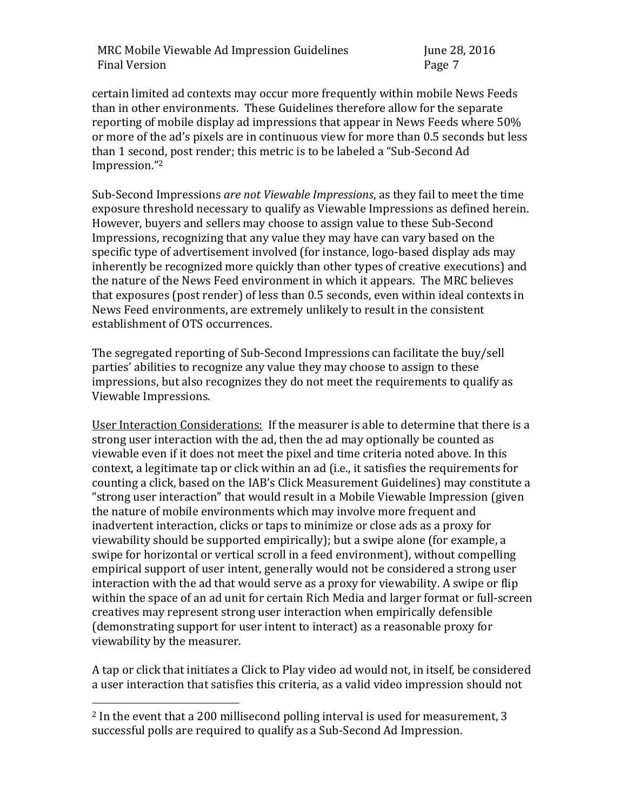certain limited ad contexts may occur more frequently within mobile News Feeds than in other environments. These Guidelines therefore allow for the separate reporting of mobile display ad impressions that appear in News Feeds where 50% or more of the ad's pixels are in continuous view for more than 0.5 seconds but less than 1 second, post render; this metric is to be labeled a "Sub-Second Ad Impression." 2

Sub-Second Impressions *are not Viewable Impressions*, as they fail to meet the time exposure threshold necessary to qualify as Viewable Impressions as defined herein. However, buyers and sellers may choose to assign value to these Sub-Second Impressions, recognizing that any value they may have can vary based on the specific type of advertisement involved (for instance, logo-based display ads may inherently be recognized more quickly than other types of creative executions) and the nature of the News Feed environment in which it appears. The MRC believes that exposures (post render) of less than 0.5 seconds, even within ideal contexts in News Feed environments, are extremely unlikely to result in the consistent establishment of OTS occurrences.

The segregated reporting of Sub-Second Impressions can facilitate the buy/sell parties' abilities to recognize any value they may choose to assign to these impressions, but also recognizes they do not meet the requirements to qualify as Viewable Impressions.

User Interaction Considerations: If the measurer is able to determine that there is a strong user interaction with the ad, then the ad may optionally be counted as viewable even if it does not meet the pixel and time criteria noted above. In this context, a legitimate tap or click within an ad (i.e., it satisfies the requirements for counting a click, based on the IAB's Click Measurement Guidelines) may constitute a "strong user interaction" that would result in a Mobile Viewable Impression (given the nature of mobile environments which may involve more frequent and inadvertent interaction, clicks or taps to minimize or close ads as a proxy for viewability should be supported empirically); but a swipe alone (for example, a swipe for horizontal or vertical scroll in a feed environment), without compelling empirical support of user intent, generally would not be considered a strong user interaction with the ad that would serve as a proxy for viewability. A swipe or flip within the space of an ad unit for certain Rich Media and larger format or full-screen creatives may represent strong user interaction when empirically defensible (demonstrating support for user intent to interact) as a reasonable proxy for viewability by the measurer.

A tap or click that initiates a Click to Play video ad would not, in itself, be considered a user interaction that satisfies this criteria, as a valid video impression should not

 $\overline{a}$ 

<sup>2</sup> In the event that a 200 millisecond polling interval is used for measurement, 3 successful polls are required to qualify as a Sub-Second Ad Impression.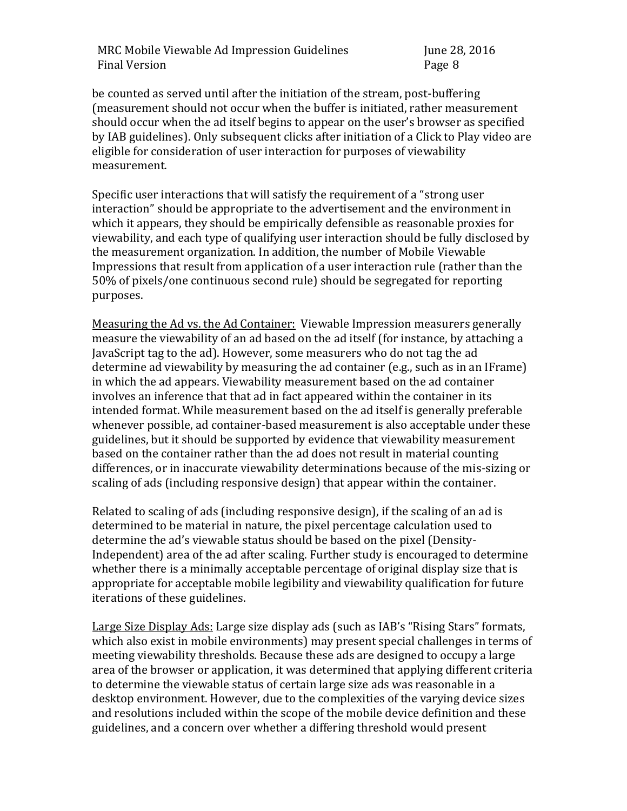be counted as served until after the initiation of the stream, post-buffering (measurement should not occur when the buffer is initiated, rather measurement should occur when the ad itself begins to appear on the user's browser as specified by IAB guidelines). Only subsequent clicks after initiation of a Click to Play video are eligible for consideration of user interaction for purposes of viewability measurement.

Specific user interactions that will satisfy the requirement of a "strong user interaction" should be appropriate to the advertisement and the environment in which it appears, they should be empirically defensible as reasonable proxies for viewability, and each type of qualifying user interaction should be fully disclosed by the measurement organization. In addition, the number of Mobile Viewable Impressions that result from application of a user interaction rule (rather than the 50% of pixels/one continuous second rule) should be segregated for reporting purposes.

Measuring the Ad vs. the Ad Container: Viewable Impression measurers generally measure the viewability of an ad based on the ad itself (for instance, by attaching a JavaScript tag to the ad). However, some measurers who do not tag the ad determine ad viewability by measuring the ad container (e.g., such as in an IFrame) in which the ad appears. Viewability measurement based on the ad container involves an inference that that ad in fact appeared within the container in its intended format. While measurement based on the ad itself is generally preferable whenever possible, ad container-based measurement is also acceptable under these guidelines, but it should be supported by evidence that viewability measurement based on the container rather than the ad does not result in material counting differences, or in inaccurate viewability determinations because of the mis-sizing or scaling of ads (including responsive design) that appear within the container.

Related to scaling of ads (including responsive design), if the scaling of an ad is determined to be material in nature, the pixel percentage calculation used to determine the ad's viewable status should be based on the pixel (Density-Independent) area of the ad after scaling. Further study is encouraged to determine whether there is a minimally acceptable percentage of original display size that is appropriate for acceptable mobile legibility and viewability qualification for future iterations of these guidelines.

Large Size Display Ads: Large size display ads (such as IAB's "Rising Stars" formats, which also exist in mobile environments) may present special challenges in terms of meeting viewability thresholds. Because these ads are designed to occupy a large area of the browser or application, it was determined that applying different criteria to determine the viewable status of certain large size ads was reasonable in a desktop environment. However, due to the complexities of the varying device sizes and resolutions included within the scope of the mobile device definition and these guidelines, and a concern over whether a differing threshold would present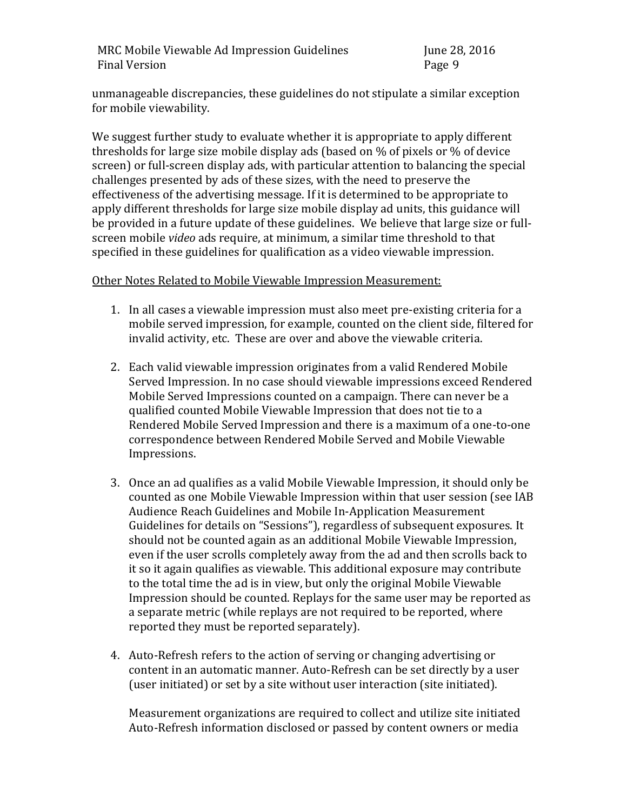unmanageable discrepancies, these guidelines do not stipulate a similar exception for mobile viewability.

We suggest further study to evaluate whether it is appropriate to apply different thresholds for large size mobile display ads (based on % of pixels or % of device screen) or full-screen display ads, with particular attention to balancing the special challenges presented by ads of these sizes, with the need to preserve the effectiveness of the advertising message. If it is determined to be appropriate to apply different thresholds for large size mobile display ad units, this guidance will be provided in a future update of these guidelines. We believe that large size or fullscreen mobile *video* ads require, at minimum, a similar time threshold to that specified in these guidelines for qualification as a video viewable impression.

### Other Notes Related to Mobile Viewable Impression Measurement:

- 1. In all cases a viewable impression must also meet pre-existing criteria for a mobile served impression, for example, counted on the client side, filtered for invalid activity, etc. These are over and above the viewable criteria.
- 2. Each valid viewable impression originates from a valid Rendered Mobile Served Impression. In no case should viewable impressions exceed Rendered Mobile Served Impressions counted on a campaign. There can never be a qualified counted Mobile Viewable Impression that does not tie to a Rendered Mobile Served Impression and there is a maximum of a one-to-one correspondence between Rendered Mobile Served and Mobile Viewable Impressions.
- 3. Once an ad qualifies as a valid Mobile Viewable Impression, it should only be counted as one Mobile Viewable Impression within that user session (see IAB Audience Reach Guidelines and Mobile In-Application Measurement Guidelines for details on "Sessions"), regardless of subsequent exposures. It should not be counted again as an additional Mobile Viewable Impression, even if the user scrolls completely away from the ad and then scrolls back to it so it again qualifies as viewable. This additional exposure may contribute to the total time the ad is in view, but only the original Mobile Viewable Impression should be counted. Replays for the same user may be reported as a separate metric (while replays are not required to be reported, where reported they must be reported separately).
- 4. Auto-Refresh refers to the action of serving or changing advertising or content in an automatic manner. Auto-Refresh can be set directly by a user (user initiated) or set by a site without user interaction (site initiated).

Measurement organizations are required to collect and utilize site initiated Auto-Refresh information disclosed or passed by content owners or media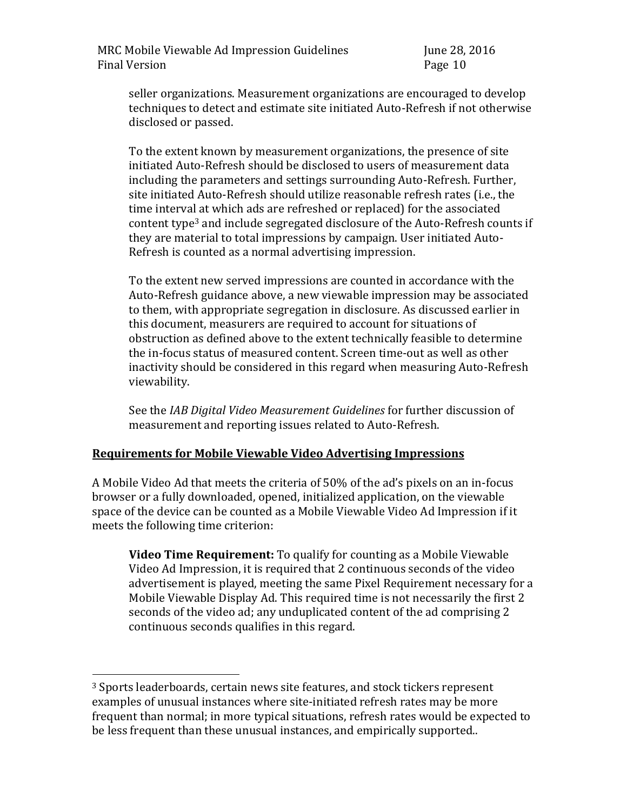seller organizations. Measurement organizations are encouraged to develop techniques to detect and estimate site initiated Auto-Refresh if not otherwise disclosed or passed.

To the extent known by measurement organizations, the presence of site initiated Auto-Refresh should be disclosed to users of measurement data including the parameters and settings surrounding Auto-Refresh. Further, site initiated Auto-Refresh should utilize reasonable refresh rates (i.e., the time interval at which ads are refreshed or replaced) for the associated content type<sup>3</sup> and include segregated disclosure of the Auto-Refresh counts if they are material to total impressions by campaign. User initiated Auto-Refresh is counted as a normal advertising impression.

To the extent new served impressions are counted in accordance with the Auto-Refresh guidance above, a new viewable impression may be associated to them, with appropriate segregation in disclosure. As discussed earlier in this document, measurers are required to account for situations of obstruction as defined above to the extent technically feasible to determine the in-focus status of measured content. Screen time-out as well as other inactivity should be considered in this regard when measuring Auto-Refresh viewability.

See the *IAB Digital Video Measurement Guidelines* for further discussion of measurement and reporting issues related to Auto-Refresh.

# **Requirements for Mobile Viewable Video Advertising Impressions**

A Mobile Video Ad that meets the criteria of 50% of the ad's pixels on an in-focus browser or a fully downloaded, opened, initialized application, on the viewable space of the device can be counted as a Mobile Viewable Video Ad Impression if it meets the following time criterion:

**Video Time Requirement:** To qualify for counting as a Mobile Viewable Video Ad Impression, it is required that 2 continuous seconds of the video advertisement is played, meeting the same Pixel Requirement necessary for a Mobile Viewable Display Ad. This required time is not necessarily the first 2 seconds of the video ad; any unduplicated content of the ad comprising 2 continuous seconds qualifies in this regard.

 $\overline{a}$ 

<sup>&</sup>lt;sup>3</sup> Sports leaderboards, certain news site features, and stock tickers represent examples of unusual instances where site-initiated refresh rates may be more frequent than normal; in more typical situations, refresh rates would be expected to be less frequent than these unusual instances, and empirically supported..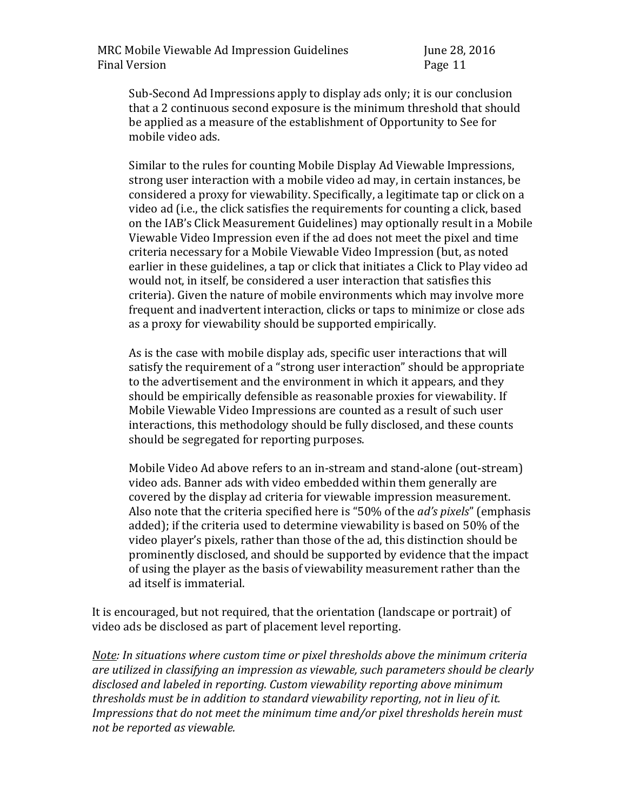Sub-Second Ad Impressions apply to display ads only; it is our conclusion that a 2 continuous second exposure is the minimum threshold that should be applied as a measure of the establishment of Opportunity to See for mobile video ads.

Similar to the rules for counting Mobile Display Ad Viewable Impressions, strong user interaction with a mobile video ad may, in certain instances, be considered a proxy for viewability. Specifically, a legitimate tap or click on a video ad (i.e., the click satisfies the requirements for counting a click, based on the IAB's Click Measurement Guidelines) may optionally result in a Mobile Viewable Video Impression even if the ad does not meet the pixel and time criteria necessary for a Mobile Viewable Video Impression (but, as noted earlier in these guidelines, a tap or click that initiates a Click to Play video ad would not, in itself, be considered a user interaction that satisfies this criteria). Given the nature of mobile environments which may involve more frequent and inadvertent interaction, clicks or taps to minimize or close ads as a proxy for viewability should be supported empirically.

As is the case with mobile display ads, specific user interactions that will satisfy the requirement of a "strong user interaction" should be appropriate to the advertisement and the environment in which it appears, and they should be empirically defensible as reasonable proxies for viewability. If Mobile Viewable Video Impressions are counted as a result of such user interactions, this methodology should be fully disclosed, and these counts should be segregated for reporting purposes.

Mobile Video Ad above refers to an in-stream and stand-alone (out-stream) video ads. Banner ads with video embedded within them generally are covered by the display ad criteria for viewable impression measurement. Also note that the criteria specified here is "50% of the *ad's pixels*" (emphasis added); if the criteria used to determine viewability is based on 50% of the video player's pixels, rather than those of the ad, this distinction should be prominently disclosed, and should be supported by evidence that the impact of using the player as the basis of viewability measurement rather than the ad itself is immaterial.

It is encouraged, but not required, that the orientation (landscape or portrait) of video ads be disclosed as part of placement level reporting.

*Note: In situations where custom time or pixel thresholds above the minimum criteria are utilized in classifying an impression as viewable, such parameters should be clearly disclosed and labeled in reporting. Custom viewability reporting above minimum thresholds must be in addition to standard viewability reporting, not in lieu of it. Impressions that do not meet the minimum time and/or pixel thresholds herein must not be reported as viewable.*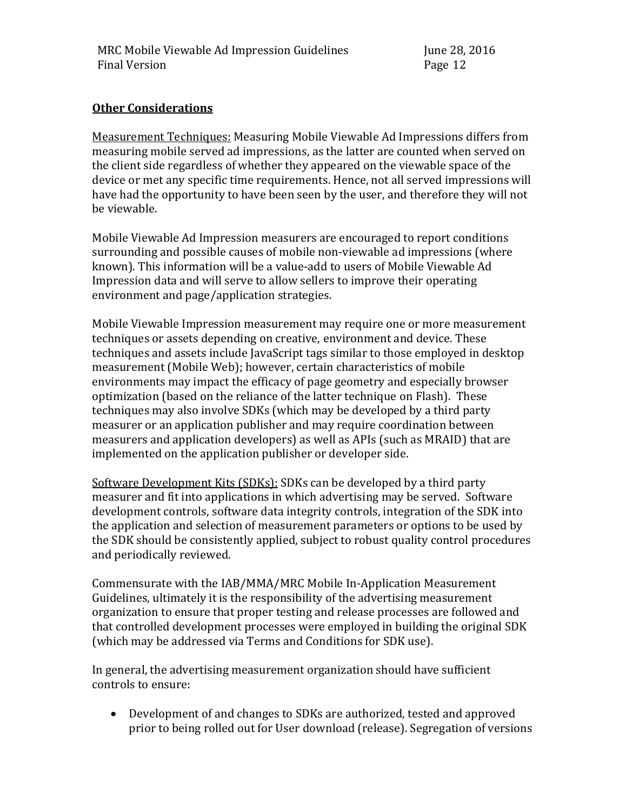#### **Other Considerations**

Measurement Techniques: Measuring Mobile Viewable Ad Impressions differs from measuring mobile served ad impressions, as the latter are counted when served on the client side regardless of whether they appeared on the viewable space of the device or met any specific time requirements. Hence, not all served impressions will have had the opportunity to have been seen by the user, and therefore they will not be viewable.

Mobile Viewable Ad Impression measurers are encouraged to report conditions surrounding and possible causes of mobile non-viewable ad impressions (where known). This information will be a value-add to users of Mobile Viewable Ad Impression data and will serve to allow sellers to improve their operating environment and page/application strategies.

Mobile Viewable Impression measurement may require one or more measurement techniques or assets depending on creative, environment and device. These techniques and assets include JavaScript tags similar to those employed in desktop measurement (Mobile Web); however, certain characteristics of mobile environments may impact the efficacy of page geometry and especially browser optimization (based on the reliance of the latter technique on Flash). These techniques may also involve SDKs (which may be developed by a third party measurer or an application publisher and may require coordination between measurers and application developers) as well as APIs (such as MRAID) that are implemented on the application publisher or developer side.

Software Development Kits (SDKs): SDKs can be developed by a third party measurer and fit into applications in which advertising may be served. Software development controls, software data integrity controls, integration of the SDK into the application and selection of measurement parameters or options to be used by the SDK should be consistently applied, subject to robust quality control procedures and periodically reviewed.

Commensurate with the IAB/MMA/MRC Mobile In-Application Measurement Guidelines, ultimately it is the responsibility of the advertising measurement organization to ensure that proper testing and release processes are followed and that controlled development processes were employed in building the original SDK (which may be addressed via Terms and Conditions for SDK use).

In general, the advertising measurement organization should have sufficient controls to ensure:

 Development of and changes to SDKs are authorized, tested and approved prior to being rolled out for User download (release). Segregation of versions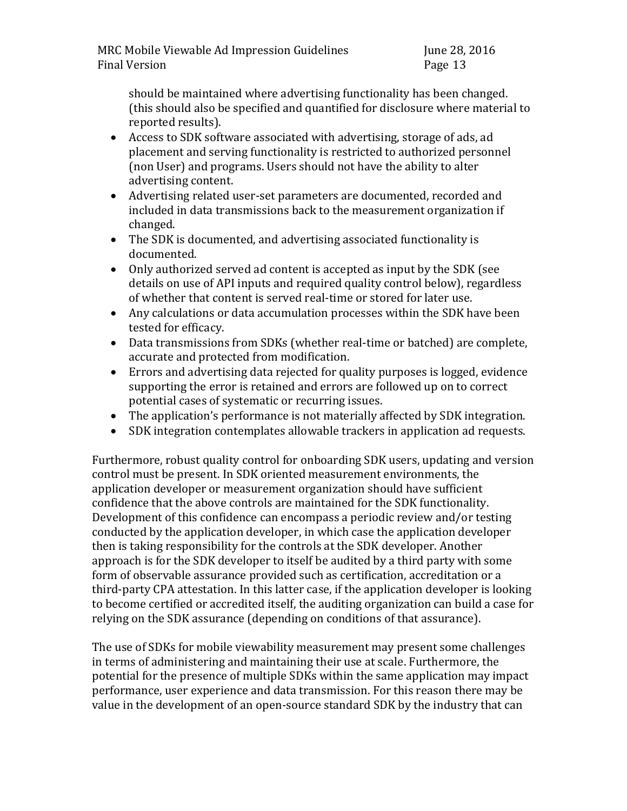should be maintained where advertising functionality has been changed. (this should also be specified and quantified for disclosure where material to reported results).

- Access to SDK software associated with advertising, storage of ads, ad placement and serving functionality is restricted to authorized personnel (non User) and programs. Users should not have the ability to alter advertising content.
- Advertising related user-set parameters are documented, recorded and included in data transmissions back to the measurement organization if changed.
- The SDK is documented, and advertising associated functionality is documented.
- Only authorized served ad content is accepted as input by the SDK (see details on use of API inputs and required quality control below), regardless of whether that content is served real-time or stored for later use.
- Any calculations or data accumulation processes within the SDK have been tested for efficacy.
- Data transmissions from SDKs (whether real-time or batched) are complete, accurate and protected from modification.
- Errors and advertising data rejected for quality purposes is logged, evidence supporting the error is retained and errors are followed up on to correct potential cases of systematic or recurring issues.
- The application's performance is not materially affected by SDK integration.
- SDK integration contemplates allowable trackers in application ad requests.

Furthermore, robust quality control for onboarding SDK users, updating and version control must be present. In SDK oriented measurement environments, the application developer or measurement organization should have sufficient confidence that the above controls are maintained for the SDK functionality. Development of this confidence can encompass a periodic review and/or testing conducted by the application developer, in which case the application developer then is taking responsibility for the controls at the SDK developer. Another approach is for the SDK developer to itself be audited by a third party with some form of observable assurance provided such as certification, accreditation or a third-party CPA attestation. In this latter case, if the application developer is looking to become certified or accredited itself, the auditing organization can build a case for relying on the SDK assurance (depending on conditions of that assurance).

The use of SDKs for mobile viewability measurement may present some challenges in terms of administering and maintaining their use at scale. Furthermore, the potential for the presence of multiple SDKs within the same application may impact performance, user experience and data transmission. For this reason there may be value in the development of an open-source standard SDK by the industry that can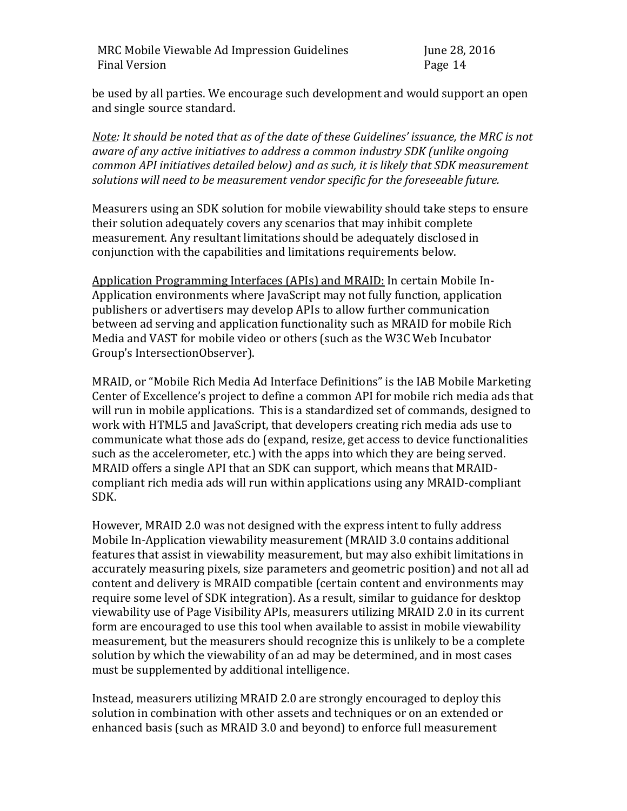be used by all parties. We encourage such development and would support an open and single source standard.

*Note: It should be noted that as of the date of these Guidelines' issuance, the MRC is not aware of any active initiatives to address a common industry SDK (unlike ongoing common API initiatives detailed below) and as such, it is likely that SDK measurement solutions will need to be measurement vendor specific for the foreseeable future.*

Measurers using an SDK solution for mobile viewability should take steps to ensure their solution adequately covers any scenarios that may inhibit complete measurement. Any resultant limitations should be adequately disclosed in conjunction with the capabilities and limitations requirements below.

Application Programming Interfaces (APIs) and MRAID: In certain Mobile In-Application environments where JavaScript may not fully function, application publishers or advertisers may develop APIs to allow further communication between ad serving and application functionality such as MRAID for mobile Rich Media and VAST for mobile video or others (such as the W3C Web Incubator Group's IntersectionObserver).

MRAID, or "Mobile Rich Media Ad Interface Definitions" is the IAB Mobile Marketing Center of Excellence's project to define a common API for mobile rich media ads that will run in mobile applications. This is a standardized set of commands, designed to work with HTML5 and JavaScript, that developers creating rich media ads use to communicate what those ads do (expand, resize, get access to device functionalities such as the accelerometer, etc.) with the apps into which they are being served. MRAID offers a single API that an SDK can support, which means that MRAIDcompliant rich media ads will run within applications using any MRAID-compliant SDK.

However, MRAID 2.0 was not designed with the express intent to fully address Mobile In-Application viewability measurement (MRAID 3.0 contains additional features that assist in viewability measurement, but may also exhibit limitations in accurately measuring pixels, size parameters and geometric position) and not all ad content and delivery is MRAID compatible (certain content and environments may require some level of SDK integration). As a result, similar to guidance for desktop viewability use of Page Visibility APIs, measurers utilizing MRAID 2.0 in its current form are encouraged to use this tool when available to assist in mobile viewability measurement, but the measurers should recognize this is unlikely to be a complete solution by which the viewability of an ad may be determined, and in most cases must be supplemented by additional intelligence.

Instead, measurers utilizing MRAID 2.0 are strongly encouraged to deploy this solution in combination with other assets and techniques or on an extended or enhanced basis (such as MRAID 3.0 and beyond) to enforce full measurement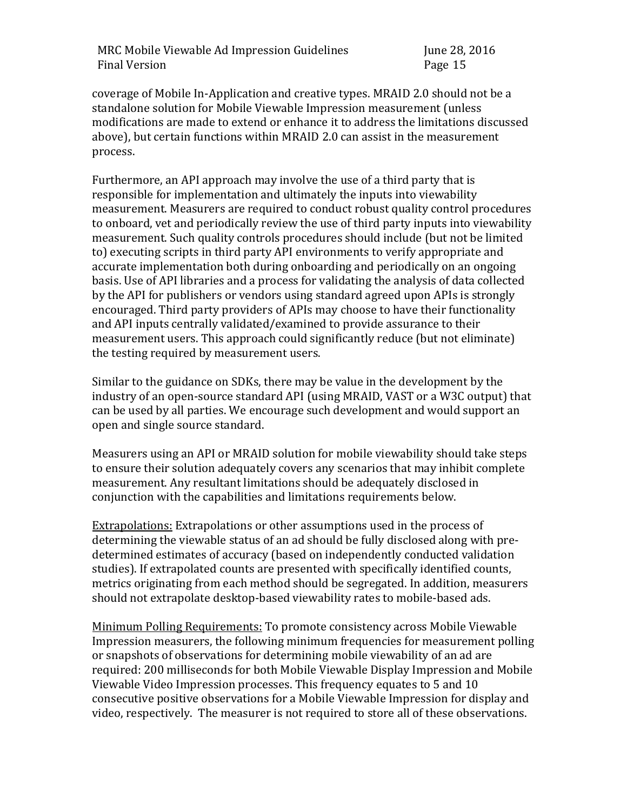coverage of Mobile In-Application and creative types. MRAID 2.0 should not be a standalone solution for Mobile Viewable Impression measurement (unless modifications are made to extend or enhance it to address the limitations discussed above), but certain functions within MRAID 2.0 can assist in the measurement process.

Furthermore, an API approach may involve the use of a third party that is responsible for implementation and ultimately the inputs into viewability measurement. Measurers are required to conduct robust quality control procedures to onboard, vet and periodically review the use of third party inputs into viewability measurement. Such quality controls procedures should include (but not be limited to) executing scripts in third party API environments to verify appropriate and accurate implementation both during onboarding and periodically on an ongoing basis. Use of API libraries and a process for validating the analysis of data collected by the API for publishers or vendors using standard agreed upon APIs is strongly encouraged. Third party providers of APIs may choose to have their functionality and API inputs centrally validated/examined to provide assurance to their measurement users. This approach could significantly reduce (but not eliminate) the testing required by measurement users.

Similar to the guidance on SDKs, there may be value in the development by the industry of an open-source standard API (using MRAID, VAST or a W3C output) that can be used by all parties. We encourage such development and would support an open and single source standard.

Measurers using an API or MRAID solution for mobile viewability should take steps to ensure their solution adequately covers any scenarios that may inhibit complete measurement. Any resultant limitations should be adequately disclosed in conjunction with the capabilities and limitations requirements below.

Extrapolations: Extrapolations or other assumptions used in the process of determining the viewable status of an ad should be fully disclosed along with predetermined estimates of accuracy (based on independently conducted validation studies). If extrapolated counts are presented with specifically identified counts, metrics originating from each method should be segregated. In addition, measurers should not extrapolate desktop-based viewability rates to mobile-based ads.

Minimum Polling Requirements: To promote consistency across Mobile Viewable Impression measurers, the following minimum frequencies for measurement polling or snapshots of observations for determining mobile viewability of an ad are required: 200 milliseconds for both Mobile Viewable Display Impression and Mobile Viewable Video Impression processes. This frequency equates to 5 and 10 consecutive positive observations for a Mobile Viewable Impression for display and video, respectively. The measurer is not required to store all of these observations.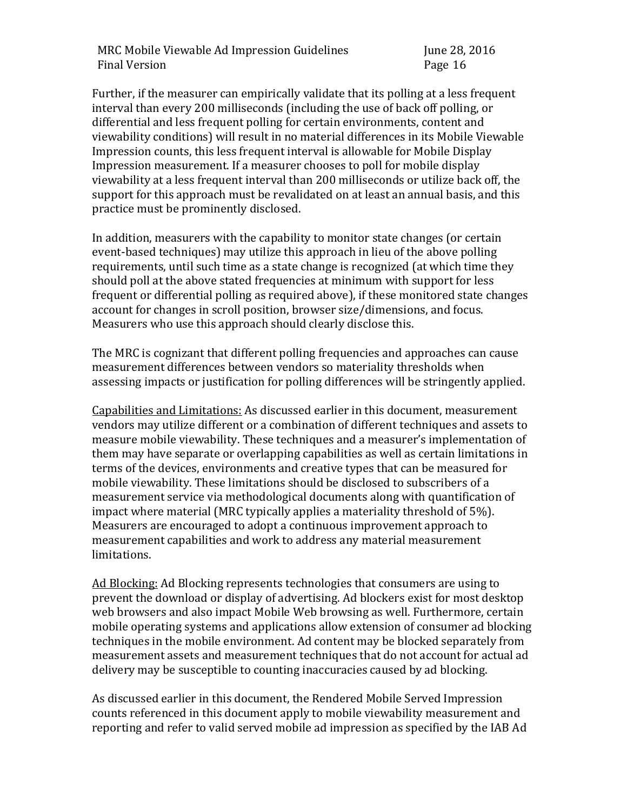Further, if the measurer can empirically validate that its polling at a less frequent interval than every 200 milliseconds (including the use of back off polling, or differential and less frequent polling for certain environments, content and viewability conditions) will result in no material differences in its Mobile Viewable Impression counts, this less frequent interval is allowable for Mobile Display Impression measurement. If a measurer chooses to poll for mobile display viewability at a less frequent interval than 200 milliseconds or utilize back off, the support for this approach must be revalidated on at least an annual basis, and this practice must be prominently disclosed.

In addition, measurers with the capability to monitor state changes (or certain event-based techniques) may utilize this approach in lieu of the above polling requirements, until such time as a state change is recognized (at which time they should poll at the above stated frequencies at minimum with support for less frequent or differential polling as required above), if these monitored state changes account for changes in scroll position, browser size/dimensions, and focus. Measurers who use this approach should clearly disclose this.

The MRC is cognizant that different polling frequencies and approaches can cause measurement differences between vendors so materiality thresholds when assessing impacts or justification for polling differences will be stringently applied.

Capabilities and Limitations: As discussed earlier in this document, measurement vendors may utilize different or a combination of different techniques and assets to measure mobile viewability. These techniques and a measurer's implementation of them may have separate or overlapping capabilities as well as certain limitations in terms of the devices, environments and creative types that can be measured for mobile viewability. These limitations should be disclosed to subscribers of a measurement service via methodological documents along with quantification of impact where material (MRC typically applies a materiality threshold of 5%). Measurers are encouraged to adopt a continuous improvement approach to measurement capabilities and work to address any material measurement limitations.

Ad Blocking: Ad Blocking represents technologies that consumers are using to prevent the download or display of advertising. Ad blockers exist for most desktop web browsers and also impact Mobile Web browsing as well. Furthermore, certain mobile operating systems and applications allow extension of consumer ad blocking techniques in the mobile environment. Ad content may be blocked separately from measurement assets and measurement techniques that do not account for actual ad delivery may be susceptible to counting inaccuracies caused by ad blocking.

As discussed earlier in this document, the Rendered Mobile Served Impression counts referenced in this document apply to mobile viewability measurement and reporting and refer to valid served mobile ad impression as specified by the IAB Ad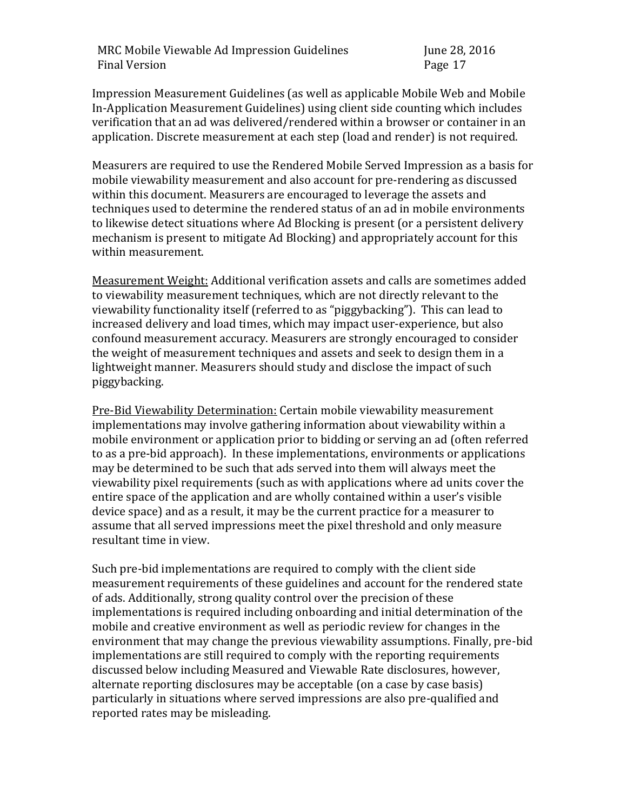Impression Measurement Guidelines (as well as applicable Mobile Web and Mobile In-Application Measurement Guidelines) using client side counting which includes verification that an ad was delivered/rendered within a browser or container in an application. Discrete measurement at each step (load and render) is not required.

Measurers are required to use the Rendered Mobile Served Impression as a basis for mobile viewability measurement and also account for pre-rendering as discussed within this document. Measurers are encouraged to leverage the assets and techniques used to determine the rendered status of an ad in mobile environments to likewise detect situations where Ad Blocking is present (or a persistent delivery mechanism is present to mitigate Ad Blocking) and appropriately account for this within measurement.

Measurement Weight: Additional verification assets and calls are sometimes added to viewability measurement techniques, which are not directly relevant to the viewability functionality itself (referred to as "piggybacking"). This can lead to increased delivery and load times, which may impact user-experience, but also confound measurement accuracy. Measurers are strongly encouraged to consider the weight of measurement techniques and assets and seek to design them in a lightweight manner. Measurers should study and disclose the impact of such piggybacking.

Pre-Bid Viewability Determination: Certain mobile viewability measurement implementations may involve gathering information about viewability within a mobile environment or application prior to bidding or serving an ad (often referred to as a pre-bid approach). In these implementations, environments or applications may be determined to be such that ads served into them will always meet the viewability pixel requirements (such as with applications where ad units cover the entire space of the application and are wholly contained within a user's visible device space) and as a result, it may be the current practice for a measurer to assume that all served impressions meet the pixel threshold and only measure resultant time in view.

Such pre-bid implementations are required to comply with the client side measurement requirements of these guidelines and account for the rendered state of ads. Additionally, strong quality control over the precision of these implementations is required including onboarding and initial determination of the mobile and creative environment as well as periodic review for changes in the environment that may change the previous viewability assumptions. Finally, pre-bid implementations are still required to comply with the reporting requirements discussed below including Measured and Viewable Rate disclosures, however, alternate reporting disclosures may be acceptable (on a case by case basis) particularly in situations where served impressions are also pre-qualified and reported rates may be misleading.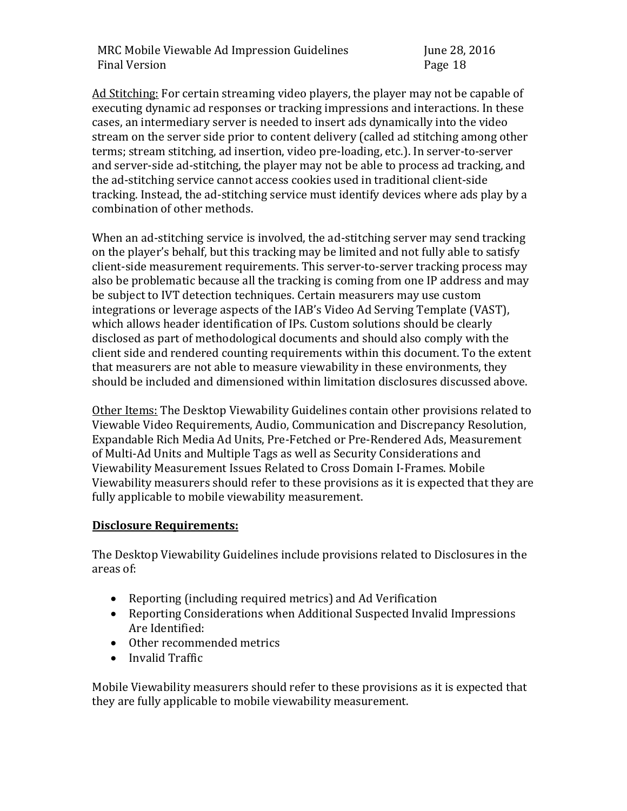Ad Stitching: For certain streaming video players, the player may not be capable of executing dynamic ad responses or tracking impressions and interactions. In these cases, an intermediary server is needed to insert ads dynamically into the video stream on the server side prior to content delivery (called ad stitching among other terms; stream stitching, ad insertion, video pre-loading, etc.). In server-to-server and server-side ad-stitching, the player may not be able to process ad tracking, and the ad-stitching service cannot access cookies used in traditional client-side tracking. Instead, the ad-stitching service must identify devices where ads play by a combination of other methods.

When an ad-stitching service is involved, the ad-stitching server may send tracking on the player's behalf, but this tracking may be limited and not fully able to satisfy client-side measurement requirements. This server-to-server tracking process may also be problematic because all the tracking is coming from one IP address and may be subject to IVT detection techniques. Certain measurers may use custom integrations or leverage aspects of the IAB's Video Ad Serving Template (VAST), which allows header identification of IPs. Custom solutions should be clearly disclosed as part of methodological documents and should also comply with the client side and rendered counting requirements within this document. To the extent that measurers are not able to measure viewability in these environments, they should be included and dimensioned within limitation disclosures discussed above.

Other Items: The Desktop Viewability Guidelines contain other provisions related to Viewable Video Requirements, Audio, Communication and Discrepancy Resolution, Expandable Rich Media Ad Units, Pre-Fetched or Pre-Rendered Ads, Measurement of Multi-Ad Units and Multiple Tags as well as Security Considerations and Viewability Measurement Issues Related to Cross Domain I-Frames. Mobile Viewability measurers should refer to these provisions as it is expected that they are fully applicable to mobile viewability measurement.

### **Disclosure Requirements:**

The Desktop Viewability Guidelines include provisions related to Disclosures in the areas of:

- Reporting (including required metrics) and Ad Verification
- Reporting Considerations when Additional Suspected Invalid Impressions Are Identified:
- Other recommended metrics
- Invalid Traffic

Mobile Viewability measurers should refer to these provisions as it is expected that they are fully applicable to mobile viewability measurement.